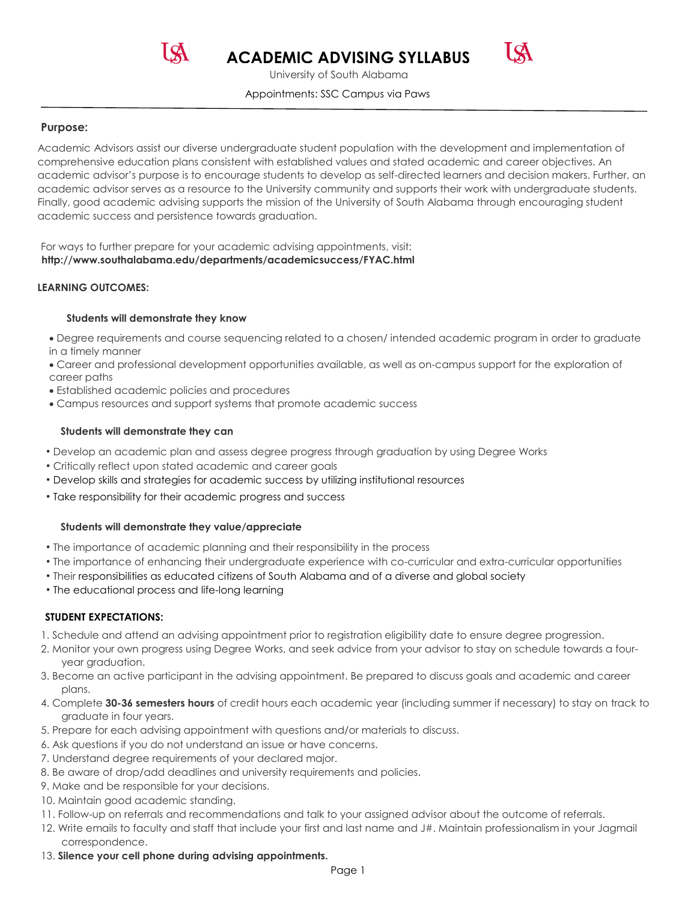**ACADEMIC ADVISING SYLLABUS** 



 Appointments: SSC Campus via Paws University of South Alabama

## **Purpose:**

 comprehensive education plans consistent with established values and stated academic and career objectives. An Finally, good academic advising supports the mission of the University of South Alabama through encouraging student academic success and persistence towards graduation. Academic Advisors assist our diverse undergraduate student population with the development and implementation of academic advisor's purpose is to encourage students to develop as self-directed learners and decision makers. Further, an academic advisor serves as a resource to the University community and supports their work with undergraduate students.

 **http://www.southalabama.edu/departments/academicsuccess/FYAC.html LEARNING OUTCOMES:**  For ways to further prepare for your academic advising appointments, visit:

#### **Students will demonstrate they know**

- in a timely manner Degree requirements and course sequencing related to a chosen/ intended academic program in order to graduate
- Career and professional development opportunities available, as well as on-campus support for the exploration of career paths
- Established academic policies and procedures
- Campus resources and support systems that promote academic success

#### **Students will demonstrate they can**

- Develop an academic plan and assess degree progress through graduation by using Degree Works
- Critically reflect upon stated academic and career goals
- Develop skills and strategies for academic success by utilizing institutional resources
- Take responsibility for their academic progress and success

### **Students will demonstrate they value/appreciate**

- The importance of academic planning and their responsibility in the process
- The importance of enhancing their undergraduate experience with co-curricular and extra-curricular opportunities
- Their responsibilities as educated citizens of South Alabama and of a diverse and global society
- The educational process and life-long learning

### **STUDENT EXPECTATIONS:**

- 
- 1. Schedule and attend an advising appointment prior to registration eligibility date to ensure degree progression.<br>2. Monitor your own progress using Degree Works, and seek advice from your advisor to stay on schedule tow year graduation. year graduation. 3. Become an active participant in the advising appointment. Be prepared to discuss goals and academic and career
- 
- plans. 4. Complete **30-36 semesters hours** of credit hours each academic year (including summer if necessary) to stay on track to graduate in four years.
- 5. Prepare for each advising appointment with questions and/or materials to discuss.
- 6. Ask questions if you do not understand an issue or have concerns.
- 7. Understand degree requirements of your declared major.
- 8. Be aware of drop/add deadlines and university requirements and policies.
- 9. Make and be responsible for your decisions. 10. Maintain good academic standing.
- 10. Maintain good academic standing.
- 11. Follow-up on referrals and recommendations and talk to your assigned advisor about the outcome of referrals.
- 12. Write emails to faculty and staff that include your first and last name and J#. Maintain professionalism in your Jagmail correspondence.
- 13. Silence your cell phone during advising appointments.